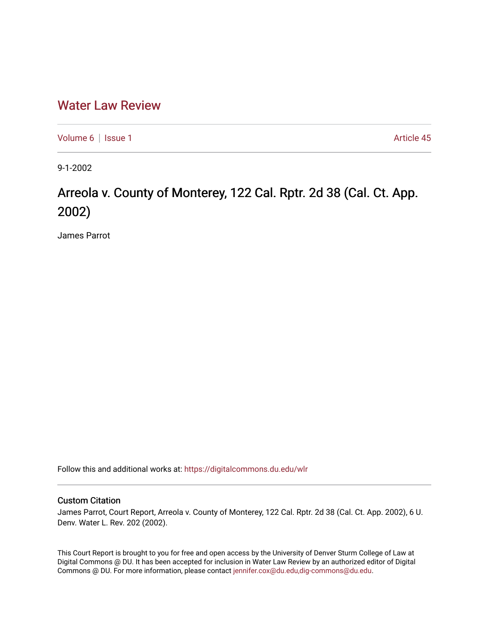## [Water Law Review](https://digitalcommons.du.edu/wlr)

[Volume 6](https://digitalcommons.du.edu/wlr/vol6) | [Issue 1](https://digitalcommons.du.edu/wlr/vol6/iss1) Article 45

9-1-2002

## Arreola v. County of Monterey, 122 Cal. Rptr. 2d 38 (Cal. Ct. App. 2002)

James Parrot

Follow this and additional works at: [https://digitalcommons.du.edu/wlr](https://digitalcommons.du.edu/wlr?utm_source=digitalcommons.du.edu%2Fwlr%2Fvol6%2Fiss1%2F45&utm_medium=PDF&utm_campaign=PDFCoverPages) 

## Custom Citation

James Parrot, Court Report, Arreola v. County of Monterey, 122 Cal. Rptr. 2d 38 (Cal. Ct. App. 2002), 6 U. Denv. Water L. Rev. 202 (2002).

This Court Report is brought to you for free and open access by the University of Denver Sturm College of Law at Digital Commons @ DU. It has been accepted for inclusion in Water Law Review by an authorized editor of Digital Commons @ DU. For more information, please contact [jennifer.cox@du.edu,dig-commons@du.edu.](mailto:jennifer.cox@du.edu,dig-commons@du.edu)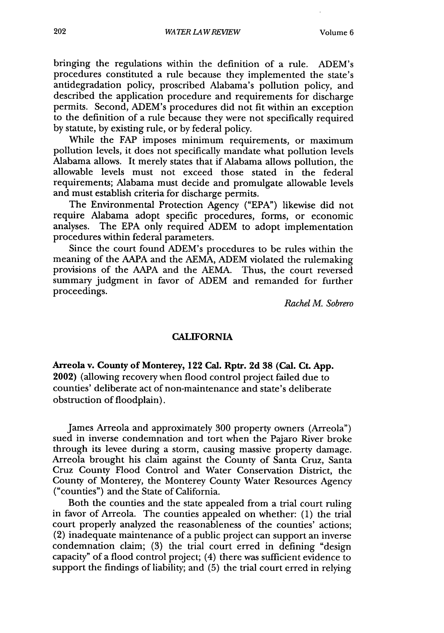bringing the regulations within the definition of a rule. ADEM's procedures constituted a rule because they implemented the state's antidegradation policy, proscribed Alabama's pollution policy, and described the application procedure and requirements for discharge permits. Second, ADEM's procedures did not fit within an exception to the definition of a rule because they were not specifically required by statute, by existing rule, or by federal policy.

While the FAP imposes minimum requirements, or maximum pollution levels, it does not specifically mandate what pollution levels Alabama allows. It merely states that if Alabama allows pollution, the allowable levels must not exceed those stated in the federal requirements; Alabama must decide and promulgate allowable levels and must establish criteria for discharge permits.

The Environmental Protection Agency ("EPA") likewise did not require Alabama adopt specific procedures, forms, or economic analyses. The EPA only required ADEM to adopt implementation procedures within federal parameters.

Since the court found ADEM's procedures to be rules within the meaning of the AAPA and the AEMA, ADEM violated the rulemaking provisions of the AAPA and the AEMA. Thus, the court reversed summary judgment in favor of ADEM and remanded for further proceedings.

*Rachel M. Sobrero*

## **CALIFORNIA**

**Arreola v. County of Monterey, 122 Cal. Rptr. 2d 38 (Cal. Ct. App.** 2002) (allowing recovery when flood control project failed due to counties' deliberate act of non-maintenance and state's deliberate obstruction of floodplain).

James Arreola and approximately 300 property owners (Arreola") sued in inverse condemnation and tort when the Pajaro River broke through its levee during a storm, causing massive property damage. Arreola brought his claim against the County of Santa Cruz, Santa Cruz County Flood Control and Water Conservation District, the County of Monterey, the Monterey County Water Resources Agency ("counties") and the State of California.

Both the counties and the state appealed from a trial court ruling in favor of Arreola. The counties appealed on whether: (1) the trial court properly analyzed the reasonableness of the counties' actions; (2) inadequate maintenance of a public project can support an inverse condemnation claim; (3) the trial court erred in defining "design capacity" of a flood control project; (4) there was sufficient evidence to support the findings of liability; and (5) the trial court erred in relying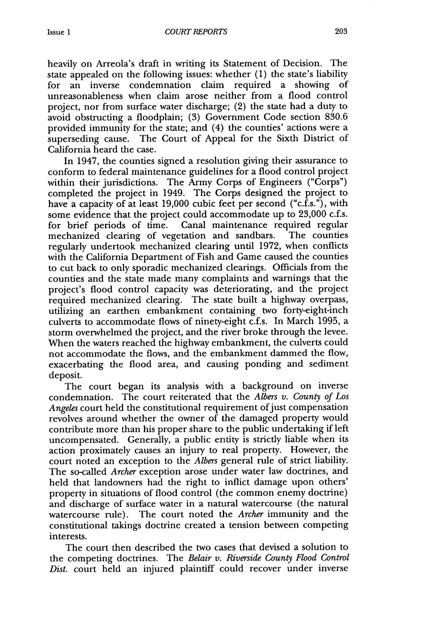heavily on Arreola's draft in writing its Statement of Decision. The state appealed on the following issues: whether (1) the state's liability for an inverse condemnation claim required a showing of unreasonableness when claim arose neither from a flood control project, nor from surface water discharge; (2) the state had a duty to avoid obstructing a floodplain; (3) Government Code section 830.6 provided immunity for the state; and (4) the counties' actions were a superseding cause. The Court of Appeal for the Sixth District of California heard the case.

In 1947, the counties signed a resolution giving their assurance to conform to federal maintenance guidelines for a flood control project within their jurisdictions. The Army Corps of Engineers ("Corps") completed the project in 1949. The Corps designed the project to have a capacity of at least 19,000 cubic feet per second ("c.f.s."), with some evidence that the project could accommodate up to 23,000 c.f.s. for brief periods of time. Canal maintenance required regular mechanized clearing of vegetation and sandbars. The counties mechanized clearing of vegetation and sandbars. regularly undertook mechanized clearing until 1972, when conflicts with the California Department of Fish and Game caused the counties to cut back to only sporadic mechanized clearings. Officials from the counties and the state made many complaints and warnings that the project's flood control capacity was deteriorating, and the project required mechanized clearing. The state built a highway overpass, utilizing an earthen embankment containing two forty-eight-inch culverts to accommodate flows of ninety-eight c.f.s. In March 1995, a storm overwhelmed the project, and the river broke through the levee. When the waters reached the highway embankment, the culverts could not accommodate the flows, and the embankment dammed the flow, exacerbating the flood area, and causing ponding and sediment deposit.

The court began its analysis with a background on inverse condemnation. The court reiterated that the *Albers v. County of Los Angeles* court held the constitutional requirement of just compensation revolves around whether the owner of the damaged property would contribute more than his proper share to the public undertaking if left uncompensated. Generally, a public entity is strictly liable when its action proximately causes an injury to real property. However, the court noted an exception to the *Albers* general rule of strict liability. The so-called *Archer* exception arose under water law doctrines, and held that landowners had the right to inflict damage upon others' property in situations of flood control (the common enemy doctrine) and discharge of surface water in a natural watercourse (the natural watercourse rule). The court noted the *Archer* immunity and the constitutional takings doctrine created a tension between competing interests.

The court then described the two cases that devised a solution to the competing doctrines. The *Belair v. Riverside County Flood Control Dist.* court held an injured plaintiff could recover under inverse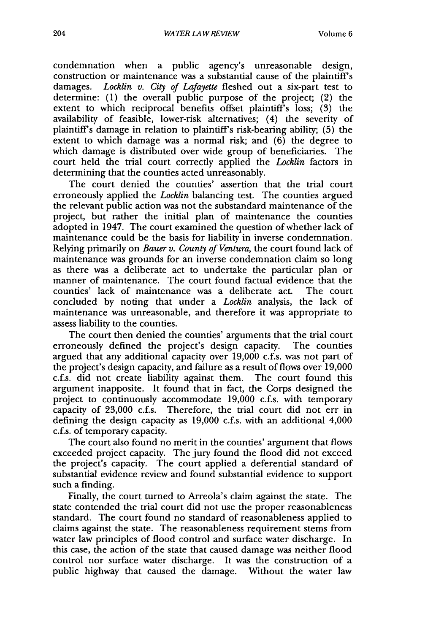condemnation when a public agency's unreasonable design, construction or maintenance was a substantial cause of the plaintiff's damages. *Locklin v. City of Lafayette* fleshed out a six-part test to determine: (1) the overall public purpose of the project; (2) the extent to which reciprocal benefits offset plaintiff's loss; (3) the availability of feasible, lower-risk alternatives; (4) the severity of plaintiff's damage in relation to plaintiffs risk-bearing ability; (5) the extent to which damage was a normal risk; and (6) the degree to which damage is distributed over wide group of beneficiaries. The court held the trial court correctly applied the *Locklin* factors in determining that the counties acted unreasonably.

The court denied the counties' assertion that the trial court erroneously applied the *Locklin* balancing test. The counties argued the relevant public action was not the substandard maintenance of the project, but rather the initial plan of maintenance the counties adopted in 1947. The court examined the question of whether lack of maintenance could be the basis for liability in inverse condemnation. Relying primarily on *Bauer v. County of Ventura,* the court found lack of maintenance was grounds for an inverse condemnation claim so long as there was a deliberate act to undertake the particular plan or manner of maintenance. The court found factual evidence that the counties' lack of maintenance was a deliberate act. The court concluded by noting that under a *Locklin* analysis, the lack of maintenance was unreasonable, and therefore it was appropriate to assess liability to the counties.

The court then denied the counties' arguments that the trial court erroneously defined the project's design capacity. The counties argued that any additional capacity over 19,000 c.f.s. was not part of the project's design capacity, and failure as a result of flows over 19,000 c.f.s. did not create liability against them. The court found this argument inapposite. It found that in fact, the Corps designed the project to continuously accommodate 19,000 c.f.s. with temporary capacity of 23,000 c.f.s. Therefore, the trial court did not err in defining the design capacity as 19,000 c.f.s. with an additional 4,000 c.f.s. of temporary capacity.

The court also found no merit in the counties' argument that flows exceeded project capacity. The jury found the flood did not exceed the project's capacity. The court applied a deferential standard of substantial evidence review and found substantial evidence to support such a finding.

Finally, the court turned to Arreola's claim against the state. The state contended the trial court did not use the proper reasonableness standard. The court found no standard of reasonableness applied to claims against the state. The reasonableness requirement stems from water law principles of flood control and surface water discharge. In this case, the action of the state that caused damage was neither flood control nor surface water discharge. It was the construction of a public highway that caused the damage. Without the water law